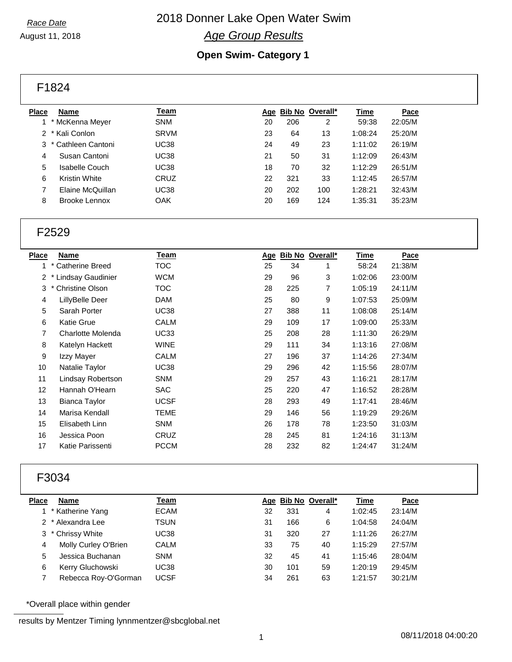## 2018 Donner Lake Open Water Swim *Age Group Results*

August 11, 2018

## **Open Swim- Category 1**

F1824

| <b>Place</b> | Name                 | Team        | Age |     | Bib No Overall* | <u>Time</u> | Pace    |  |
|--------------|----------------------|-------------|-----|-----|-----------------|-------------|---------|--|
|              | 1 * McKenna Meyer    | <b>SNM</b>  | 20  | 206 | 2               | 59:38       | 22:05/M |  |
|              | 2 * Kali Conlon      | <b>SRVM</b> | 23  | 64  | 13              | 1:08:24     | 25:20/M |  |
|              | 3 * Cathleen Cantoni | UC38        | 24  | 49  | 23              | 1:11:02     | 26:19/M |  |
| 4            | Susan Cantoni        | UC38        | 21  | 50  | 31              | 1:12:09     | 26:43/M |  |
| 5            | Isabelle Couch       | UC38        | 18  | 70  | 32              | 1:12:29     | 26:51/M |  |
| 6            | Kristin White        | CRUZ        | 22  | 321 | 33              | 1:12:45     | 26:57/M |  |
|              | Elaine McQuillan     | UC38        | 20  | 202 | 100             | 1:28:21     | 32:43/M |  |
| 8            | Brooke Lennox        | OAK         | 20  | 169 | 124             | 1:35:31     | 35:23/M |  |
|              |                      |             |     |     |                 |             |         |  |

## F2529

| Pace    |
|---------|
| 21:38/M |
| 23:00/M |
| 24:11/M |
| 25:09/M |
| 25:14/M |
| 25:33/M |
| 26:29/M |
| 27:08/M |
| 27:34/M |
| 28:07/M |
| 28:17/M |
| 28:28/M |
| 28:46/M |
| 29:26/M |
| 31:03/M |
| 31:13/M |
| 31:24/M |
|         |

## F3034

| Place | Name                 | <u>Team</u> |    |     | Age Bib No Overall* | <u>Time</u> | Pace    |
|-------|----------------------|-------------|----|-----|---------------------|-------------|---------|
|       | * Katherine Yang     | <b>ECAM</b> | 32 | 331 | 4                   | 1:02:45     | 23:14/M |
|       | 2 * Alexandra Lee    | TSUN        | 31 | 166 | 6                   | 1:04:58     | 24:04/M |
|       | 3 * Chrissy White    | UC38        | 31 | 320 | 27                  | 1:11:26     | 26:27/M |
| 4     | Molly Curley O'Brien | <b>CALM</b> | 33 | 75  | 40                  | 1:15:29     | 27:57/M |
| 5     | Jessica Buchanan     | <b>SNM</b>  | 32 | 45  | 41                  | 1:15:46     | 28:04/M |
| 6     | Kerry Gluchowski     | UC38        | 30 | 101 | 59                  | 1:20:19     | 29:45/M |
|       | Rebecca Roy-O'Gorman | <b>UCSF</b> | 34 | 261 | 63                  | 1:21:57     | 30:21/M |
|       |                      |             |    |     |                     |             |         |

\*Overall place within gender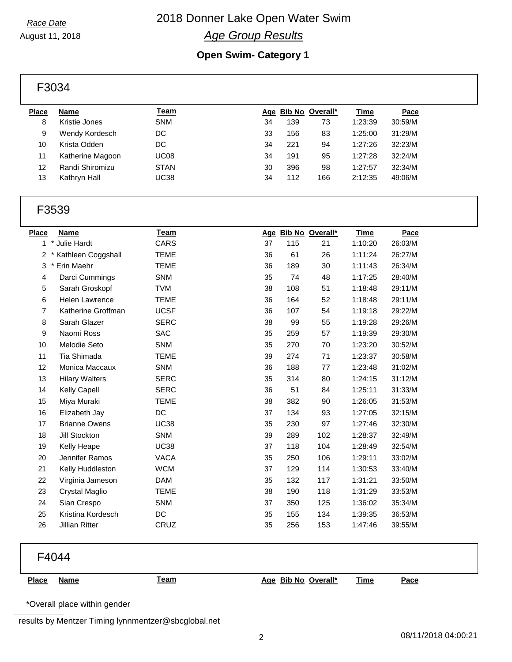## 2018 Donner Lake Open Water Swim *Age Group Results*

August 11, 2018

## **Open Swim- Category 1**

F3034

| <b>Place</b> | Name             | Team        |    | Age Bib No Overall* |     | <u>Time</u> | Pace    |
|--------------|------------------|-------------|----|---------------------|-----|-------------|---------|
| 8            | Kristie Jones    | <b>SNM</b>  | 34 | 139                 | 73  | 1:23:39     | 30:59/M |
| 9            | Wendy Kordesch   | DC          | 33 | 156                 | 83  | 1:25:00     | 31:29/M |
| 10           | Krista Odden     | DC          | 34 | 221                 | 94  | 1:27:26     | 32:23/M |
| 11           | Katherine Magoon | <b>UC08</b> | 34 | 191                 | 95  | 1:27:28     | 32:24/M |
| 12           | Randi Shiromizu  | <b>STAN</b> | 30 | 396                 | 98  | 1:27:57     | 32:34/M |
| 13           | Kathryn Hall     | <b>UC38</b> | 34 | 112                 | 166 | 2:12:35     | 49:06/M |
|              |                  |             |    |                     |     |             |         |

## F3539

| <b>Place</b> | <b>Name</b>            | <u>Team</u> |    |     | Age Bib No Overall* | <b>Time</b> | Pace    |
|--------------|------------------------|-------------|----|-----|---------------------|-------------|---------|
| $\mathbf{1}$ | * Julie Hardt          | CARS        | 37 | 115 | 21                  | 1:10:20     | 26:03/M |
|              | 2 * Kathleen Coggshall | <b>TEME</b> | 36 | 61  | 26                  | 1:11:24     | 26:27/M |
| 3            | Erin Maehr             | <b>TEME</b> | 36 | 189 | 30                  | 1:11:43     | 26:34/M |
| 4            | Darci Cummings         | <b>SNM</b>  | 35 | 74  | 48                  | 1:17:25     | 28:40/M |
| 5            | Sarah Groskopf         | <b>TVM</b>  | 38 | 108 | 51                  | 1:18:48     | 29:11/M |
| 6            | <b>Helen Lawrence</b>  | <b>TEME</b> | 36 | 164 | 52                  | 1:18:48     | 29:11/M |
| 7            | Katherine Groffman     | <b>UCSF</b> | 36 | 107 | 54                  | 1:19:18     | 29:22/M |
| 8            | Sarah Glazer           | <b>SERC</b> | 38 | 99  | 55                  | 1:19:28     | 29:26/M |
| 9            | Naomi Ross             | <b>SAC</b>  | 35 | 259 | 57                  | 1:19:39     | 29:30/M |
| 10           | Melodie Seto           | <b>SNM</b>  | 35 | 270 | 70                  | 1:23:20     | 30:52/M |
| 11           | Tia Shimada            | <b>TEME</b> | 39 | 274 | 71                  | 1:23:37     | 30:58/M |
| 12           | Monica Maccaux         | <b>SNM</b>  | 36 | 188 | 77                  | 1:23:48     | 31:02/M |
| 13           | <b>Hilary Walters</b>  | <b>SERC</b> | 35 | 314 | 80                  | 1:24:15     | 31:12/M |
| 14           | Kelly Capell           | <b>SERC</b> | 36 | 51  | 84                  | 1:25:11     | 31:33/M |
| 15           | Miya Muraki            | <b>TEME</b> | 38 | 382 | 90                  | 1:26:05     | 31:53/M |
| 16           | Elizabeth Jay          | DC          | 37 | 134 | 93                  | 1:27:05     | 32:15/M |
| 17           | <b>Brianne Owens</b>   | <b>UC38</b> | 35 | 230 | 97                  | 1:27:46     | 32:30/M |
| 18           | Jill Stockton          | <b>SNM</b>  | 39 | 289 | 102                 | 1:28:37     | 32:49/M |
| 19           | Kelly Heape            | <b>UC38</b> | 37 | 118 | 104                 | 1:28:49     | 32:54/M |
| 20           | Jennifer Ramos         | <b>VACA</b> | 35 | 250 | 106                 | 1:29:11     | 33:02/M |
| 21           | Kelly Huddleston       | <b>WCM</b>  | 37 | 129 | 114                 | 1:30:53     | 33:40/M |
| 22           | Virginia Jameson       | <b>DAM</b>  | 35 | 132 | 117                 | 1:31:21     | 33:50/M |
| 23           | Crystal Maglio         | <b>TEME</b> | 38 | 190 | 118                 | 1:31:29     | 33:53/M |
| 24           | Sian Crespo            | <b>SNM</b>  | 37 | 350 | 125                 | 1:36:02     | 35:34/M |
| 25           | Kristina Kordesch      | DC          | 35 | 155 | 134                 | 1:39:35     | 36:53/M |
| 26           | Jillian Ritter         | <b>CRUZ</b> | 35 | 256 | 153                 | 1:47:46     | 39:55/M |

## F4044

| ٠ |  |
|---|--|

**Place Name Team Age Bib No Overall\* Time Pace**

\*Overall place within gender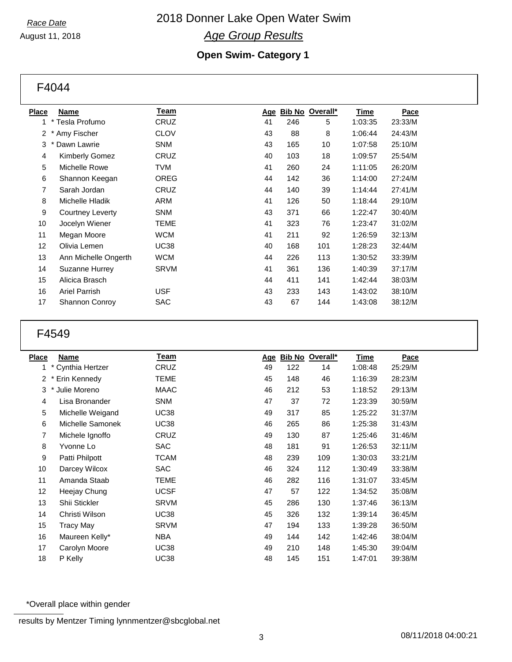### *Race Date* August 11, 2018

## 2018 Donner Lake Open Water Swim *Age Group Results*

## **Open Swim- Category 1**

F4044

| <b>Place</b>    | <b>Name</b>           | <b>Team</b> | <u>Age</u> |     | Bib No Overall* | <u>Time</u> | <b>Pace</b> |
|-----------------|-----------------------|-------------|------------|-----|-----------------|-------------|-------------|
| 1.              | * Tesla Profumo       | CRUZ        | 41         | 246 | 5               | 1:03:35     | 23:33/M     |
| 2               | Amy Fischer           | CLOV        | 43         | 88  | 8               | 1:06:44     | 24:43/M     |
| 3               | Dawn Lawrie           | <b>SNM</b>  | 43         | 165 | 10              | 1:07:58     | 25:10/M     |
| $\overline{4}$  | <b>Kimberly Gomez</b> | CRUZ        | 40         | 103 | 18              | 1:09:57     | 25:54/M     |
| 5               | Michelle Rowe         | TVM         | 41         | 260 | 24              | 1:11:05     | 26:20/M     |
| 6               | Shannon Keegan        | OREG        | 44         | 142 | 36              | 1:14:00     | 27:24/M     |
| 7               | Sarah Jordan          | CRUZ        | 44         | 140 | 39              | 1:14:44     | 27:41/M     |
| 8               | Michelle Hladik       | ARM         | 41         | 126 | 50              | 1:18:44     | 29:10/M     |
| 9               | Courtney Leverty      | <b>SNM</b>  | 43         | 371 | 66              | 1:22:47     | 30:40/M     |
| 10              | Jocelyn Wiener        | TEME        | 41         | 323 | 76              | 1:23:47     | 31:02/M     |
| 11              | Megan Moore           | WCM         | 41         | 211 | 92              | 1:26:59     | 32:13/M     |
| 12 <sup>2</sup> | Olivia Lemen          | <b>UC38</b> | 40         | 168 | 101             | 1:28:23     | 32:44/M     |
| 13              | Ann Michelle Ongerth  | WCM         | 44         | 226 | 113             | 1:30:52     | 33:39/M     |
| 14              | Suzanne Hurrey        | <b>SRVM</b> | 41         | 361 | 136             | 1:40:39     | 37:17/M     |
| 15              | Alicica Brasch        |             | 44         | 411 | 141             | 1:42:44     | 38:03/M     |
| 16              | <b>Ariel Parrish</b>  | <b>USF</b>  | 43         | 233 | 143             | 1:43:02     | 38:10/M     |
| 17              | Shannon Conroy        | SAC         | 43         | 67  | 144             | 1:43:08     | 38:12/M     |
|                 |                       |             |            |     |                 |             |             |

## F4549

| <b>Place</b>   | <b>Name</b>       | <u>Team</u> | Age |     | Bib No Overall* | <b>Time</b> | Pace    |
|----------------|-------------------|-------------|-----|-----|-----------------|-------------|---------|
| 1              | * Cynthia Hertzer | CRUZ        | 49  | 122 | 14              | 1:08:48     | 25:29/M |
| 2              | Erin Kennedy      | TEME        | 45  | 148 | 46              | 1:16:39     | 28:23/M |
| 3              | Julie Moreno      | <b>MAAC</b> | 46  | 212 | 53              | 1:18:52     | 29:13/M |
| 4              | Lisa Bronander    | <b>SNM</b>  | 47  | 37  | 72              | 1:23:39     | 30:59/M |
| 5              | Michelle Weigand  | <b>UC38</b> | 49  | 317 | 85              | 1:25:22     | 31:37/M |
| 6              | Michelle Samonek  | <b>UC38</b> | 46  | 265 | 86              | 1:25:38     | 31:43/M |
| $\overline{7}$ | Michele Ignoffo   | CRUZ        | 49  | 130 | 87              | 1:25:46     | 31:46/M |
| 8              | Yvonne Lo         | <b>SAC</b>  | 48  | 181 | 91              | 1:26:53     | 32:11/M |
| 9              | Patti Philpott    | <b>TCAM</b> | 48  | 239 | 109             | 1:30:03     | 33:21/M |
| 10             | Darcey Wilcox     | <b>SAC</b>  | 46  | 324 | 112             | 1:30:49     | 33:38/M |
| 11             | Amanda Staab      | <b>TEME</b> | 46  | 282 | 116             | 1:31:07     | 33:45/M |
| 12             | Heejay Chung      | <b>UCSF</b> | 47  | 57  | 122             | 1:34:52     | 35:08/M |
| 13             | Shii Stickler     | <b>SRVM</b> | 45  | 286 | 130             | 1:37:46     | 36:13/M |
| 14             | Christi Wilson    | <b>UC38</b> | 45  | 326 | 132             | 1:39:14     | 36:45/M |
| 15             | Tracy May         | <b>SRVM</b> | 47  | 194 | 133             | 1:39:28     | 36:50/M |
| 16             | Maureen Kelly*    | <b>NBA</b>  | 49  | 144 | 142             | 1:42:46     | 38:04/M |
| 17             | Carolyn Moore     | <b>UC38</b> | 49  | 210 | 148             | 1:45:30     | 39:04/M |
| 18             | P Kelly           | <b>UC38</b> | 48  | 145 | 151             | 1:47:01     | 39:38/M |

\*Overall place within gender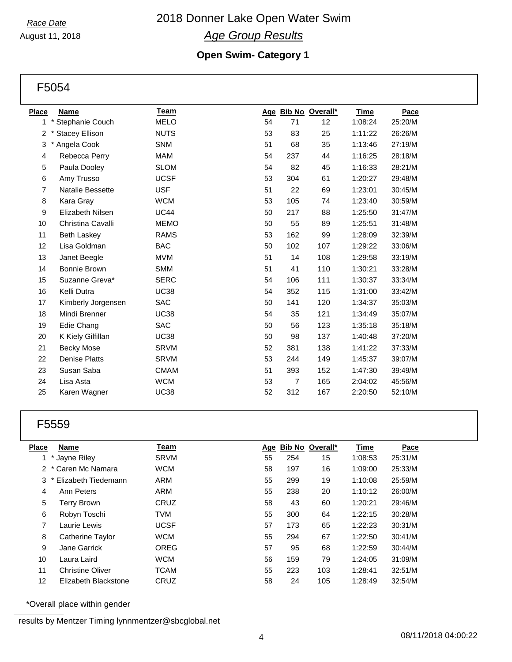#### *Race Date* August 11, 2018

## 2018 Donner Lake Open Water Swim *Age Group Results*

## **Open Swim- Category 1**

F5054

| <b>Place</b> | <b>Name</b>             | Team        |    |                | Age Bib No Overall* | <b>Time</b> | Pace    |
|--------------|-------------------------|-------------|----|----------------|---------------------|-------------|---------|
| 1            | * Stephanie Couch       | <b>MELO</b> | 54 | 71             | 12                  | 1:08:24     | 25:20/M |
| 2            | <b>Stacey Ellison</b>   | <b>NUTS</b> | 53 | 83             | 25                  | 1:11:22     | 26:26/M |
| 3            | Angela Cook             | <b>SNM</b>  | 51 | 68             | 35                  | 1:13:46     | 27:19/M |
| 4            | Rebecca Perry           | <b>MAM</b>  | 54 | 237            | 44                  | 1:16:25     | 28:18/M |
| 5            | Paula Dooley            | <b>SLOM</b> | 54 | 82             | 45                  | 1:16:33     | 28:21/M |
| 6            | Amy Trusso              | <b>UCSF</b> | 53 | 304            | 61                  | 1:20:27     | 29:48/M |
| 7            | Natalie Bessette        | <b>USF</b>  | 51 | 22             | 69                  | 1:23:01     | 30:45/M |
| 8            | Kara Gray               | <b>WCM</b>  | 53 | 105            | 74                  | 1:23:40     | 30:59/M |
| 9            | <b>Elizabeth Nilsen</b> | <b>UC44</b> | 50 | 217            | 88                  | 1:25:50     | 31:47/M |
| 10           | Christina Cavalli       | <b>MEMO</b> | 50 | 55             | 89                  | 1:25:51     | 31:48/M |
| 11           | <b>Beth Laskey</b>      | <b>RAMS</b> | 53 | 162            | 99                  | 1:28:09     | 32:39/M |
| 12           | Lisa Goldman            | <b>BAC</b>  | 50 | 102            | 107                 | 1:29:22     | 33:06/M |
| 13           | Janet Beegle            | <b>MVM</b>  | 51 | 14             | 108                 | 1:29:58     | 33:19/M |
| 14           | Bonnie Brown            | <b>SMM</b>  | 51 | 41             | 110                 | 1:30:21     | 33:28/M |
| 15           | Suzanne Greva*          | <b>SERC</b> | 54 | 106            | 111                 | 1:30:37     | 33:34/M |
| 16           | Kelli Dutra             | <b>UC38</b> | 54 | 352            | 115                 | 1:31:00     | 33:42/M |
| 17           | Kimberly Jorgensen      | <b>SAC</b>  | 50 | 141            | 120                 | 1:34:37     | 35:03/M |
| 18           | Mindi Brenner           | <b>UC38</b> | 54 | 35             | 121                 | 1:34:49     | 35:07/M |
| 19           | Edie Chang              | SAC         | 50 | 56             | 123                 | 1:35:18     | 35:18/M |
| 20           | K Kiely Gilfillan       | <b>UC38</b> | 50 | 98             | 137                 | 1:40:48     | 37:20/M |
| 21           | <b>Becky Mose</b>       | <b>SRVM</b> | 52 | 381            | 138                 | 1:41:22     | 37:33/M |
| 22           | Denise Platts           | <b>SRVM</b> | 53 | 244            | 149                 | 1:45:37     | 39:07/M |
| 23           | Susan Saba              | <b>CMAM</b> | 51 | 393            | 152                 | 1:47:30     | 39:49/M |
| 24           | Lisa Asta               | <b>WCM</b>  | 53 | $\overline{7}$ | 165                 | 2:04:02     | 45:56/M |
| 25           | Karen Wagner            | <b>UC38</b> | 52 | 312            | 167                 | 2:20:50     | 52:10/M |

## F5559

| Place | <b>Name</b>             | Team        | Age | <b>Bib No</b> | Overall* | Time    | Pace    |
|-------|-------------------------|-------------|-----|---------------|----------|---------|---------|
|       | Jayne Riley             | <b>SRVM</b> | 55  | 254           | 15       | 1:08:53 | 25:31/M |
|       | 2 * Caren Mc Namara     | <b>WCM</b>  | 58  | 197           | 16       | 1:09:00 | 25:33/M |
| 3     | * Elizabeth Tiedemann   | ARM         | 55  | 299           | 19       | 1:10:08 | 25:59/M |
| 4     | Ann Peters              | ARM         | 55  | 238           | 20       | 1:10:12 | 26:00/M |
| 5     | Terry Brown             | CRUZ        | 58  | 43            | 60       | 1:20:21 | 29:46/M |
| 6     | Robyn Toschi            | <b>TVM</b>  | 55  | 300           | 64       | 1:22:15 | 30:28/M |
| 7     | Laurie Lewis            | <b>UCSF</b> | 57  | 173           | 65       | 1:22:23 | 30:31/M |
| 8     | Catherine Taylor        | <b>WCM</b>  | 55  | 294           | 67       | 1:22:50 | 30:41/M |
| 9     | Jane Garrick            | <b>OREG</b> | 57  | 95            | 68       | 1:22:59 | 30:44/M |
| 10    | Laura Laird             | <b>WCM</b>  | 56  | 159           | 79       | 1:24:05 | 31:09/M |
| 11    | <b>Christine Oliver</b> | <b>TCAM</b> | 55  | 223           | 103      | 1:28:41 | 32:51/M |
| 12    | Elizabeth Blackstone    | CRUZ        | 58  | 24            | 105      | 1:28:49 | 32:54/M |

\*Overall place within gender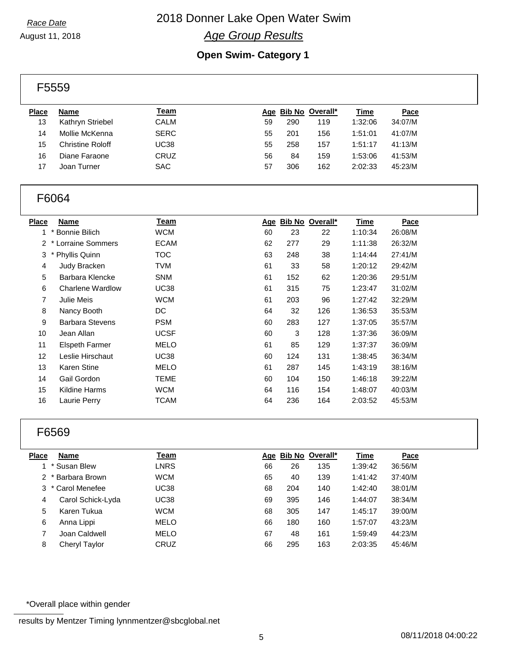## 2018 Donner Lake Open Water Swim *Age Group Results*

August 11, 2018

## **Open Swim- Category 1**

| F5559        |                         |             |    |     |                     |             |             |  |
|--------------|-------------------------|-------------|----|-----|---------------------|-------------|-------------|--|
| <b>Place</b> | Name                    | <u>Team</u> |    |     | Age Bib No Overall* | <b>Time</b> | <b>Pace</b> |  |
| 13           | Kathryn Striebel        | <b>CALM</b> | 59 | 290 | 119                 | 1:32:06     | 34:07/M     |  |
| 14           | Mollie McKenna          | <b>SERC</b> | 55 | 201 | 156                 | 1:51:01     | 41:07/M     |  |
| 15           | <b>Christine Roloff</b> | UC38        | 55 | 258 | 157                 | 1:51:17     | 41:13/M     |  |
| 16           | Diane Faraone           | CRUZ        | 56 | 84  | 159                 | 1:53:06     | 41:53/M     |  |
| 17           | Joan Turner             | <b>SAC</b>  | 57 | 306 | 162                 | 2:02:33     | 45:23/M     |  |

## F6064

| <b>Name</b>             | <u>Team</u> |    |     | Overall* | <u>Time</u>   | Pace    |
|-------------------------|-------------|----|-----|----------|---------------|---------|
| * Bonnie Bilich         | <b>WCM</b>  | 60 | 23  | 22       | 1:10:34       | 26:08/M |
| * Lorraine Sommers      | <b>ECAM</b> | 62 | 277 | 29       | 1:11:38       | 26:32/M |
| Phyllis Quinn           | <b>TOC</b>  | 63 | 248 | 38       | 1:14:44       | 27:41/M |
| Judy Bracken            | <b>TVM</b>  | 61 | 33  | 58       | 1:20:12       | 29:42/M |
| Barbara Klencke         | <b>SNM</b>  | 61 | 152 | 62       | 1:20:36       | 29:51/M |
| <b>Charlene Wardlow</b> | <b>UC38</b> | 61 | 315 | 75       | 1:23:47       | 31:02/M |
| Julie Meis              | <b>WCM</b>  | 61 | 203 | 96       | 1:27:42       | 32:29/M |
| Nancy Booth             | DC          | 64 | 32  | 126      | 1:36:53       | 35:53/M |
| <b>Barbara Stevens</b>  | <b>PSM</b>  | 60 | 283 | 127      | 1:37:05       | 35:57/M |
| Jean Allan              | <b>UCSF</b> | 60 | 3   | 128      | 1:37:36       | 36:09/M |
| Elspeth Farmer          | <b>MELO</b> | 61 | 85  | 129      | 1:37:37       | 36:09/M |
| Leslie Hirschaut        | <b>UC38</b> | 60 | 124 | 131      | 1:38:45       | 36:34/M |
| <b>Karen Stine</b>      | <b>MELO</b> | 61 | 287 | 145      | 1:43:19       | 38:16/M |
| Gail Gordon             | <b>TEME</b> | 60 | 104 | 150      | 1:46:18       | 39:22/M |
| Kildine Harms           | <b>WCM</b>  | 64 | 116 | 154      | 1:48:07       | 40:03/M |
| Laurie Perry            | TCAM        | 64 | 236 | 164      | 2:03:52       | 45:53/M |
|                         | Place       |    |     | Age      | <u>Bib No</u> |         |

## F6569

| Place | <b>Name</b>       | Team        |    | Age Bib No Overall* |     | <b>Time</b> | Pace    |
|-------|-------------------|-------------|----|---------------------|-----|-------------|---------|
|       | * Susan Blew      | <b>LNRS</b> | 66 | 26                  | 135 | 1:39:42     | 36:56/M |
|       | 2 * Barbara Brown | <b>WCM</b>  | 65 | 40                  | 139 | 1:41:42     | 37:40/M |
|       | 3 * Carol Menefee | <b>UC38</b> | 68 | 204                 | 140 | 1:42:40     | 38:01/M |
| 4     | Carol Schick-Lyda | <b>UC38</b> | 69 | 395                 | 146 | 1:44:07     | 38:34/M |
| 5     | Karen Tukua       | WCM         | 68 | 305                 | 147 | 1:45:17     | 39:00/M |
| 6     | Anna Lippi        | <b>MELO</b> | 66 | 180                 | 160 | 1:57:07     | 43:23/M |
| 7     | Joan Caldwell     | <b>MELO</b> | 67 | 48                  | 161 | 1:59:49     | 44:23/M |
| 8     | Cheryl Taylor     | CRUZ        | 66 | 295                 | 163 | 2:03:35     | 45:46/M |

\*Overall place within gender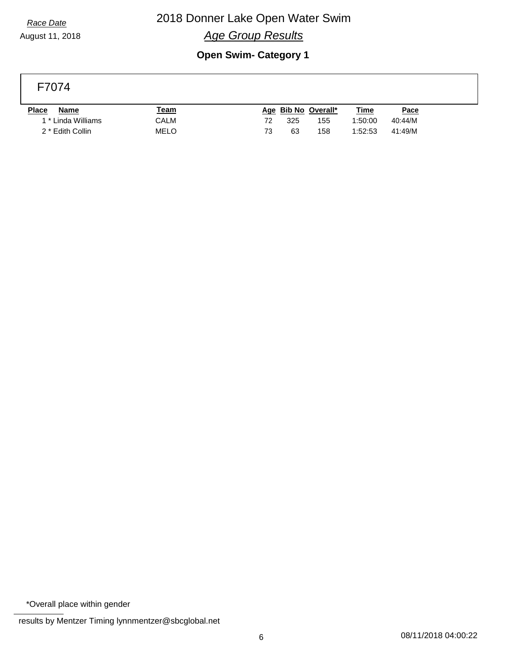## 2018 Donner Lake Open Water Swim *Age Group Results*

August 11, 2018

## **Open Swim- Category 1**

## F7074

| <b>Place</b><br>Name        | <u> Team</u> | <u>Time</u><br>Age Bib No Overall* | <u>Pace</u> |
|-----------------------------|--------------|------------------------------------|-------------|
| 1 * Linda Williams          | CALM         | 72<br>325<br>155<br>1:50:00        | 40:44/M     |
| 2 <sup>*</sup> Edith Collin | MELO         | 73<br>63<br>158<br>1:52:53         | 41:49/M     |

\*Overall place within gender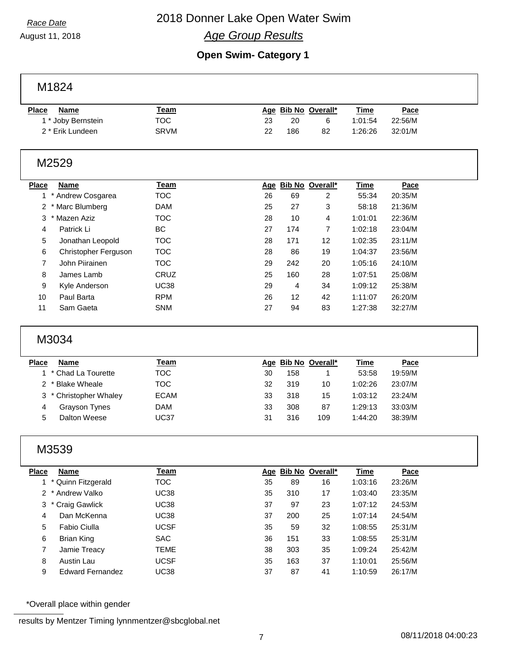## 2018 Donner Lake Open Water Swim *Age Group Results*

August 11, 2018

## **Open Swim- Category 1**

M1824

| Place<br>Name      | <u> Team</u> | <u>Time</u><br>Age Bib No Overall*<br><u>Pace</u> |
|--------------------|--------------|---------------------------------------------------|
| 1 * Joby Bernstein | TOC          | 22:56/M<br>23<br>20<br>1:01:54                    |
| 2 * Erik Lundeen   | SRVM         | 32:01/M<br>22<br>186<br>1:26:26<br>82             |
|                    |              |                                                   |

## M2529

| <b>Place</b>   | <b>Name</b>          | Team        |    |     | Age Bib No Overall* | <b>Time</b> | <b>Pace</b> |
|----------------|----------------------|-------------|----|-----|---------------------|-------------|-------------|
|                | Andrew Cosgarea      | TOC.        | 26 | 69  | 2                   | 55:34       | 20:35/M     |
| $\overline{2}$ | Marc Blumberg        | <b>DAM</b>  | 25 | 27  | 3                   | 58:18       | 21:36/M     |
| 3              | Mazen Aziz           | <b>TOC</b>  | 28 | 10  | 4                   | 1:01:01     | 22:36/M     |
| 4              | Patrick Li           | BC.         | 27 | 174 | 7                   | 1:02:18     | 23:04/M     |
| 5              | Jonathan Leopold     | <b>TOC</b>  | 28 | 171 | 12                  | 1:02:35     | 23:11/M     |
| 6              | Christopher Ferguson | <b>TOC</b>  | 28 | 86  | 19                  | 1:04:37     | 23:56/M     |
| 7              | John Piirainen       | <b>TOC</b>  | 29 | 242 | 20                  | 1:05:16     | 24:10/M     |
| 8              | James Lamb           | CRUZ        | 25 | 160 | 28                  | 1:07:51     | 25:08/M     |
| 9              | Kyle Anderson        | <b>UC38</b> | 29 | 4   | 34                  | 1:09:12     | 25:38/M     |
| 10             | Paul Barta           | <b>RPM</b>  | 26 | 12  | 42                  | 1:11:07     | 26:20/M     |
| 11             | Sam Gaeta            | <b>SNM</b>  | 27 | 94  | 83                  | 1:27:38     | 32:27/M     |

## M3034

| <b>Place</b> | <b>Name</b>            | Team        |    |     | Age Bib No Overall* | Time    | Pace    |
|--------------|------------------------|-------------|----|-----|---------------------|---------|---------|
|              | 1 * Chad La Tourette   | TOC         | 30 | 158 |                     | 53:58   | 19:59/M |
|              | 2 * Blake Wheale       | TOC         | 32 | 319 | 10                  | 1:02:26 | 23:07/M |
|              | 3 * Christopher Whaley | <b>ECAM</b> | 33 | 318 | 15                  | 1:03:12 | 23:24/M |
| 4            | <b>Grayson Tynes</b>   | DAM         | 33 | 308 | 87                  | 1:29:13 | 33:03/M |
| 5            | Dalton Weese           | UC37        | 31 | 316 | 109                 | 1:44:20 | 38:39/M |
|              |                        |             |    |     |                     |         |         |

## M3539

| Place | <b>Name</b>             | Team        |    |     | Age Bib No Overall* | <b>Time</b> | Pace    |  |
|-------|-------------------------|-------------|----|-----|---------------------|-------------|---------|--|
|       | 1 * Quinn Fitzgerald    | <b>TOC</b>  | 35 | 89  | 16                  | 1:03:16     | 23:26/M |  |
|       | 2 * Andrew Valko        | <b>UC38</b> | 35 | 310 | 17                  | 1:03:40     | 23:35/M |  |
|       | 3 * Craig Gawlick       | <b>UC38</b> | 37 | 97  | 23                  | 1:07:12     | 24:53/M |  |
| 4     | Dan McKenna             | <b>UC38</b> | 37 | 200 | 25                  | 1:07:14     | 24:54/M |  |
| 5     | Fabio Ciulla            | <b>UCSF</b> | 35 | 59  | 32                  | 1:08:55     | 25:31/M |  |
| 6     | Brian King              | <b>SAC</b>  | 36 | 151 | 33                  | 1:08:55     | 25:31/M |  |
| 7     | Jamie Treacy            | TEME        | 38 | 303 | 35                  | 1:09:24     | 25:42/M |  |
| 8     | Austin Lau              | <b>UCSF</b> | 35 | 163 | 37                  | 1:10:01     | 25:56/M |  |
| 9     | <b>Edward Fernandez</b> | UC38        | 37 | 87  | 41                  | 1:10:59     | 26:17/M |  |

\*Overall place within gender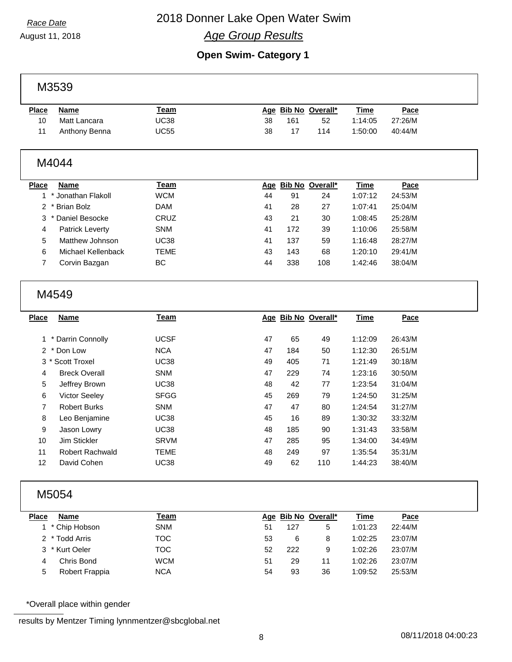## 2018 Donner Lake Open Water Swim *Age Group Results*

August 11, 2018

## **Open Swim- Category 1**

M3539

| <b>Place</b> | <b>Name</b>   | <u>Team</u> |    |     | Age Bib No Overall* | Time    | <u>Pace</u> |
|--------------|---------------|-------------|----|-----|---------------------|---------|-------------|
| 10           | Matt Lancara  | UC38        | 38 | 161 | 52                  | 1:14:05 | 27:26/M     |
|              | Anthony Benna | UC55        | 38 |     | 114                 | 1:50:00 | 40:44/M     |

### M4044

| <b>Place</b> | <b>Name</b>            | Team       | Aqe |     | Bib No Overall* | Time    | Pace    |
|--------------|------------------------|------------|-----|-----|-----------------|---------|---------|
|              | * Jonathan Flakoll     | <b>WCM</b> | 44  | 91  | 24              | 1:07:12 | 24:53/M |
|              | 2 * Brian Bolz         | <b>DAM</b> | 41  | 28  | 27              | 1:07:41 | 25:04/M |
|              | 3 * Daniel Besocke     | CRUZ       | 43  | 21  | 30              | 1:08:45 | 25:28/M |
| 4            | <b>Patrick Leverty</b> | <b>SNM</b> | 41  | 172 | 39              | 1:10:06 | 25:58/M |
| 5            | Matthew Johnson        | UC38       | 41  | 137 | 59              | 1:16:48 | 28:27/M |
| 6            | Michael Kellenback     | TEME       | 43  | 143 | 68              | 1:20:10 | 29:41/M |
|              | Corvin Bazgan          | ВC         | 44  | 338 | 108             | 1:42:46 | 38:04/M |
|              |                        |            |     |     |                 |         |         |

### M4549

| Place | <b>Name</b>          | Team        |    |     | Age Bib No Overall* | <b>Time</b> | Pace    |
|-------|----------------------|-------------|----|-----|---------------------|-------------|---------|
|       |                      |             |    |     |                     |             |         |
|       | 1 * Darrin Connolly  | <b>UCSF</b> | 47 | 65  | 49                  | 1:12:09     | 26:43/M |
|       | 2 * Don Low          | <b>NCA</b>  | 47 | 184 | 50                  | 1:12:30     | 26:51/M |
|       | 3 * Scott Troxel     | <b>UC38</b> | 49 | 405 | 71                  | 1:21:49     | 30:18/M |
| 4     | <b>Breck Overall</b> | <b>SNM</b>  | 47 | 229 | 74                  | 1:23:16     | 30:50/M |
| 5     | Jeffrey Brown        | <b>UC38</b> | 48 | 42  | 77                  | 1:23:54     | 31:04/M |
| 6     | <b>Victor Seeley</b> | <b>SFGG</b> | 45 | 269 | 79                  | 1:24:50     | 31:25/M |
| 7     | <b>Robert Burks</b>  | <b>SNM</b>  | 47 | 47  | 80                  | 1:24:54     | 31:27/M |
| 8     | Leo Benjamine        | <b>UC38</b> | 45 | 16  | 89                  | 1:30:32     | 33:32/M |
| 9     | Jason Lowry          | <b>UC38</b> | 48 | 185 | 90                  | 1:31:43     | 33:58/M |
| 10    | Jim Stickler         | <b>SRVM</b> | 47 | 285 | 95                  | 1:34:00     | 34:49/M |
| 11    | Robert Rachwald      | <b>TEME</b> | 48 | 249 | 97                  | 1:35:54     | 35:31/M |
| 12    | David Cohen          | <b>UC38</b> | 49 | 62  | 110                 | 1:44:23     | 38:40/M |

## M5054

| <b>Place</b> | <b>Name</b>     | <u> Feam</u> |    |     | Age Bib No Overall* | <b>Time</b> | <b>Pace</b> |
|--------------|-----------------|--------------|----|-----|---------------------|-------------|-------------|
|              | 1 * Chip Hobson | <b>SNM</b>   | 51 | 127 | 5                   | 1:01:23     | 22:44/M     |
|              | 2 * Todd Arris  | тос          | 53 | 6   | 8                   | 1:02:25     | 23:07/M     |
|              | 3 * Kurt Oeler  | TOC          | 52 | 222 | 9                   | 1:02:26     | 23:07/M     |
| 4            | Chris Bond      | <b>WCM</b>   | 51 | 29  | 11                  | 1:02:26     | 23:07/M     |
| 5            | Robert Frappia  | <b>NCA</b>   | 54 | 93  | 36                  | 1:09:52     | 25:53/M     |

\*Overall place within gender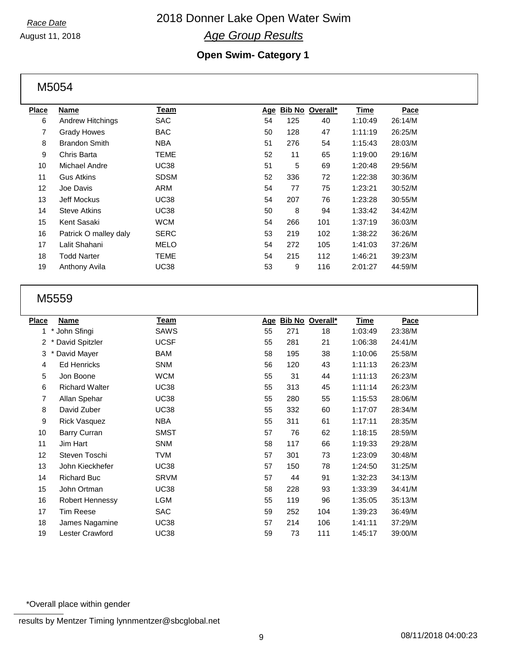## 2018 Donner Lake Open Water Swim *Age Group Results*

August 11, 2018

## **Open Swim- Category 1**

M5054

| Place | Name                    | Team        | Age | <u>Bib No</u> | Overall* | <u>Time</u> | Pace    |
|-------|-------------------------|-------------|-----|---------------|----------|-------------|---------|
| 6     | <b>Andrew Hitchings</b> | <b>SAC</b>  | 54  | 125           | 40       | 1:10:49     | 26:14/M |
| 7     | <b>Grady Howes</b>      | <b>BAC</b>  | 50  | 128           | 47       | 1:11:19     | 26:25/M |
| 8     | <b>Brandon Smith</b>    | <b>NBA</b>  | 51  | 276           | 54       | 1:15:43     | 28:03/M |
| 9     | Chris Barta             | TEME        | 52  | 11            | 65       | 1:19:00     | 29:16/M |
| 10    | Michael Andre           | <b>UC38</b> | 51  | 5             | 69       | 1:20:48     | 29:56/M |
| 11    | <b>Gus Atkins</b>       | <b>SDSM</b> | 52  | 336           | 72       | 1:22:38     | 30:36/M |
| 12    | Joe Davis               | ARM         | 54  | 77            | 75       | 1:23:21     | 30:52/M |
| 13    | <b>Jeff Mockus</b>      | <b>UC38</b> | 54  | 207           | 76       | 1:23:28     | 30:55/M |
| 14    | <b>Steve Atkins</b>     | <b>UC38</b> | 50  | 8             | 94       | 1:33:42     | 34:42/M |
| 15    | Kent Sasaki             | <b>WCM</b>  | 54  | 266           | 101      | 1:37:19     | 36:03/M |
| 16    | Patrick O malley daly   | <b>SERC</b> | 53  | 219           | 102      | 1:38:22     | 36:26/M |
| 17    | Lalit Shahani           | <b>MELO</b> | 54  | 272           | 105      | 1:41:03     | 37:26/M |
| 18    | <b>Todd Narter</b>      | TEME        | 54  | 215           | 112      | 1:46:21     | 39:23/M |
| 19    | Anthony Avila           | <b>UC38</b> | 53  | 9             | 116      | 2:01:27     | 44:59/M |
|       |                         |             |     |               |          |             |         |

### M5559

| Place          | Name                   | <b>Team</b> | Age |     | Bib No Overall* | Time    | Pace    |
|----------------|------------------------|-------------|-----|-----|-----------------|---------|---------|
| 1              | * John Sfingi          | <b>SAWS</b> | 55  | 271 | 18              | 1:03:49 | 23:38/M |
| 2              | David Spitzler         | <b>UCSF</b> | 55  | 281 | 21              | 1:06:38 | 24:41/M |
| 3              | David Mayer            | <b>BAM</b>  | 58  | 195 | 38              | 1:10:06 | 25:58/M |
| 4              | <b>Ed Henricks</b>     | <b>SNM</b>  | 56  | 120 | 43              | 1:11:13 | 26:23/M |
| 5              | Jon Boone              | <b>WCM</b>  | 55  | 31  | 44              | 1:11:13 | 26:23/M |
| 6              | <b>Richard Walter</b>  | <b>UC38</b> | 55  | 313 | 45              | 1:11:14 | 26:23/M |
| $\overline{7}$ | Allan Spehar           | <b>UC38</b> | 55  | 280 | 55              | 1:15:53 | 28:06/M |
| 8              | David Zuber            | <b>UC38</b> | 55  | 332 | 60              | 1:17:07 | 28:34/M |
| 9              | <b>Rick Vasquez</b>    | <b>NBA</b>  | 55  | 311 | 61              | 1:17:11 | 28:35/M |
| 10             | Barry Curran           | <b>SMST</b> | 57  | 76  | 62              | 1:18:15 | 28:59/M |
| 11             | Jim Hart               | <b>SNM</b>  | 58  | 117 | 66              | 1:19:33 | 29:28/M |
| 12             | Steven Toschi          | TVM         | 57  | 301 | 73              | 1:23:09 | 30:48/M |
| 13             | John Kieckhefer        | <b>UC38</b> | 57  | 150 | 78              | 1:24:50 | 31:25/M |
| 14             | <b>Richard Buc</b>     | <b>SRVM</b> | 57  | 44  | 91              | 1:32:23 | 34:13/M |
| 15             | John Ortman            | <b>UC38</b> | 58  | 228 | 93              | 1:33:39 | 34:41/M |
| 16             | <b>Robert Hennessy</b> | <b>LGM</b>  | 55  | 119 | 96              | 1:35:05 | 35:13/M |
| 17             | Tim Reese              | <b>SAC</b>  | 59  | 252 | 104             | 1:39:23 | 36:49/M |
| 18             | James Nagamine         | <b>UC38</b> | 57  | 214 | 106             | 1:41:11 | 37:29/M |
| 19             | Lester Crawford        | <b>UC38</b> | 59  | 73  | 111             | 1:45:17 | 39:00/M |

\*Overall place within gender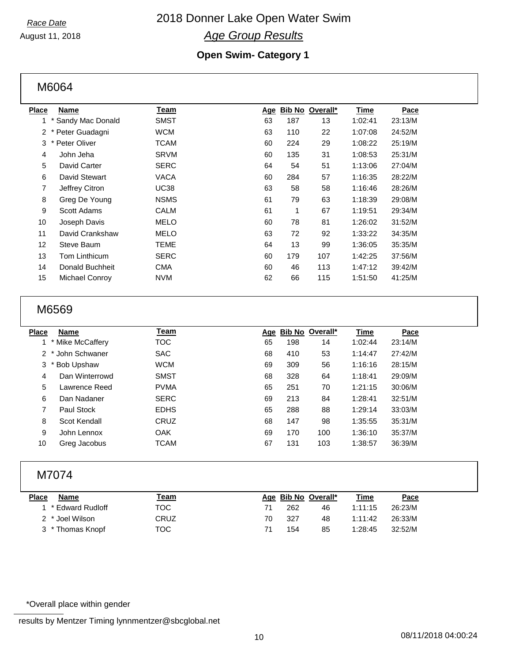## 2018 Donner Lake Open Water Swim *Age Group Results*

August 11, 2018

## **Open Swim- Category 1**

M6064

| <b>Place</b>   | <b>Name</b>      | Team        | Age | <u>Bib No</u> | Overall* | <b>Time</b> | Pace    |
|----------------|------------------|-------------|-----|---------------|----------|-------------|---------|
| 1              | Sandy Mac Donald | SMST        | 63  | 187           | 13       | 1:02:41     | 23:13/M |
| 2              | Peter Guadagni   | WCM         | 63  | 110           | 22       | 1:07:08     | 24:52/M |
| 3              | * Peter Oliver   | TCAM        | 60  | 224           | 29       | 1:08:22     | 25:19/M |
| 4              | John Jeha        | <b>SRVM</b> | 60  | 135           | 31       | 1:08:53     | 25:31/M |
| 5              | David Carter     | SERC        | 64  | 54            | 51       | 1:13:06     | 27:04/M |
| 6              | David Stewart    | VACA        | 60  | 284           | 57       | 1:16:35     | 28:22/M |
| $\overline{7}$ | Jeffrey Citron   | <b>UC38</b> | 63  | 58            | 58       | 1:16:46     | 28:26/M |
| 8              | Greg De Young    | <b>NSMS</b> | 61  | 79            | 63       | 1:18:39     | 29:08/M |
| 9              | Scott Adams      | CALM        | 61  | 1             | 67       | 1:19:51     | 29:34/M |
| 10             | Joseph Davis     | MELO        | 60  | 78            | 81       | 1:26:02     | 31:52/M |
| 11             | David Crankshaw  | MELO        | 63  | 72            | 92       | 1:33:22     | 34:35/M |
| 12             | Steve Baum       | <b>TEME</b> | 64  | 13            | 99       | 1:36:05     | 35:35/M |
| 13             | Tom Linthicum    | <b>SERC</b> | 60  | 179           | 107      | 1:42:25     | 37:56/M |
| 14             | Donald Buchheit  | <b>CMA</b>  | 60  | 46            | 113      | 1:47:12     | 39:42/M |
| 15             | Michael Conroy   | <b>NVM</b>  | 62  | 66            | 115      | 1:51:50     | 41:25/M |
|                |                  |             |     |               |          |             |         |

## M6569

| Name           | Team                                             |    |     |     | Time                | Pace    |  |
|----------------|--------------------------------------------------|----|-----|-----|---------------------|---------|--|
|                | тос                                              | 65 | 198 | 14  | 1:02:44             | 23:14/M |  |
|                | <b>SAC</b>                                       | 68 | 410 | 53  | 1:14:47             | 27:42/M |  |
| Bob Upshaw     | <b>WCM</b>                                       | 69 | 309 | 56  | 1:16:16             | 28:15/M |  |
| Dan Winterrowd | <b>SMST</b>                                      | 68 | 328 | 64  | 1:18:41             | 29:09/M |  |
| Lawrence Reed  | <b>PVMA</b>                                      | 65 | 251 | 70  | 1:21:15             | 30:06/M |  |
| Dan Nadaner    | <b>SERC</b>                                      | 69 | 213 | 84  | 1:28:41             | 32:51/M |  |
| Paul Stock     | <b>EDHS</b>                                      | 65 | 288 | 88  | 1:29:14             | 33:03/M |  |
| Scot Kendall   | CRUZ                                             | 68 | 147 | 98  | 1:35:55             | 35:31/M |  |
| John Lennox    | <b>OAK</b>                                       | 69 | 170 | 100 | 1:36:10             | 35:37/M |  |
| Greg Jacobus   | TCAM                                             | 67 | 131 | 103 | 1:38:57             | 36:39/M |  |
|                | Place<br>1 * Mike McCaffery<br>2 * John Schwaner |    |     |     | Age Bib No Overall* |         |  |

## M7074

| <b>Place</b> | <b>Name</b>        | <u> Team</u> |    | Age Bib No Overall* |    | Time    | Pace    |
|--------------|--------------------|--------------|----|---------------------|----|---------|---------|
|              | 1 * Edward Rudloff | TOC.         |    | 262                 | 46 | 1:11:15 | 26:23/M |
|              | 2 * Joel Wilson    | CRUZ         | 70 | 327                 | 48 | 1.11.42 | 26:33/M |
|              | 3 * Thomas Knopf   | тос          |    | 154                 | 85 | 1.28.45 | 32:52/M |

### \*Overall place within gender